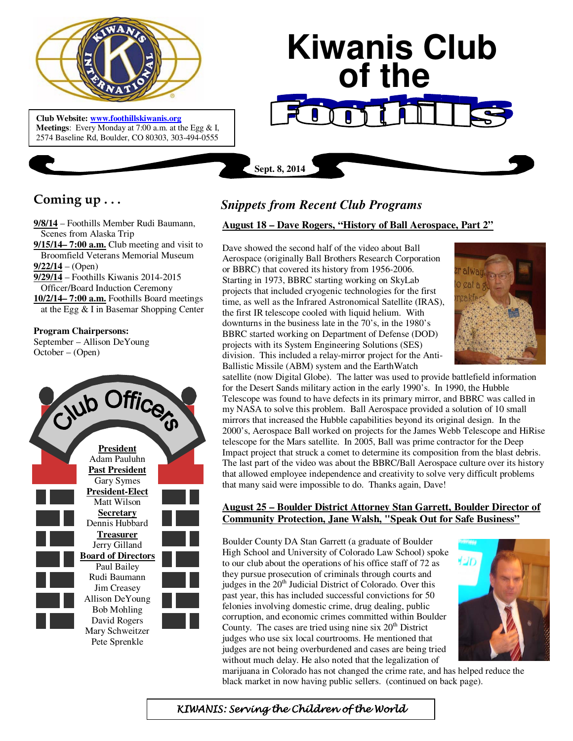

 **Meetings**: Every Monday at 7:00 a.m. at the Egg & I, **Club Website: www.foothillskiwanis.org** 2574 Baseline Rd, Boulder, CO 80303, 303-494-0555

# **Kiwanis Club of the**

**Coming up . . .** 

**9/8/14** – Foothills Member Rudi Baumann, Scenes from Alaska Trip

**9/15/14– 7:00 a.m.** Club meeting and visit to Broomfield Veterans Memorial Museum **9/22/14** – (Open)

**9/29/14** – Foothills Kiwanis 2014-2015

 Officer/Board Induction Ceremony **10/2/14– 7:00 a.m.** Foothills Board meetings

at the Egg & I in Basemar Shopping Center

### **Program Chairpersons:**

September – Allison DeYoung October – (Open)



# *Snippets from Recent Club Programs*

**Sept. 8, 2014**

## **August 18 – Dave Rogers, "History of Ball Aerospace, Part 2"**

Dave showed the second half of the video about Ball Aerospace (originally Ball Brothers Research Corporation or BBRC) that covered its history from 1956-2006. Starting in 1973, BBRC starting working on SkyLab projects that included cryogenic technologies for the first time, as well as the Infrared Astronomical Satellite (IRAS), the first IR telescope cooled with liquid helium. With downturns in the business late in the 70's, in the 1980's BBRC started working on Department of Defense (DOD) projects with its System Engineering Solutions (SES) division. This included a relay-mirror project for the Anti-Ballistic Missile (ABM) system and the EarthWatch



satellite (now Digital Globe). The latter was used to provide battlefield information for the Desert Sands military action in the early 1990's. In 1990, the Hubble Telescope was found to have defects in its primary mirror, and BBRC was called in my NASA to solve this problem. Ball Aerospace provided a solution of 10 small mirrors that increased the Hubble capabilities beyond its original design. In the 2000's, Aerospace Ball worked on projects for the James Webb Telescope and HiRise telescope for the Mars satellite. In 2005, Ball was prime contractor for the Deep Impact project that struck a comet to determine its composition from the blast debris. The last part of the video was about the BBRC/Ball Aerospace culture over its history that allowed employee independence and creativity to solve very difficult problems that many said were impossible to do. Thanks again, Dave!

# **August 25 – Boulder District Attorney Stan Garrett, Boulder Director of Community Protection, Jane Walsh, "Speak Out for Safe Business"**

Boulder County DA Stan Garrett (a graduate of Boulder High School and University of Colorado Law School) spoke to our club about the operations of his office staff of 72 as they pursue prosecution of criminals through courts and judges in the  $20<sup>th</sup>$  Judicial District of Colorado. Over this past year, this has included successful convictions for 50 felonies involving domestic crime, drug dealing, public corruption, and economic crimes committed within Boulder County. The cases are tried using nine six  $20<sup>th</sup>$  District judges who use six local courtrooms. He mentioned that judges are not being overburdened and cases are being tried without much delay. He also noted that the legalization of



marijuana in Colorado has not changed the crime rate, and has helped reduce the black market in now having public sellers. (continued on back page).

KIWANIS: Serving the Children of the World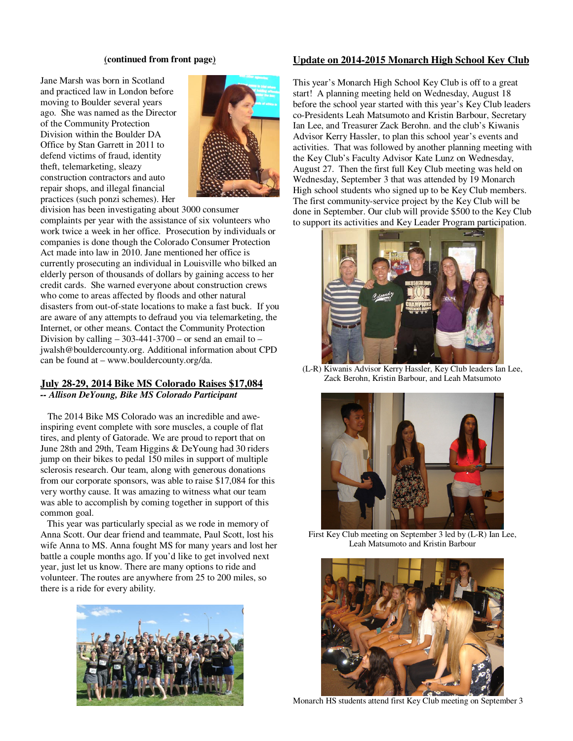#### **(continued from front page)**

Jane Marsh was born in Scotland and practiced law in London before moving to Boulder several years ago. She was named as the Director of the Community Protection Division within the Boulder DA Office by Stan Garrett in 2011 to defend victims of fraud, identity theft, telemarketing, sleazy construction contractors and auto repair shops, and illegal financial practices (such ponzi schemes). Her



division has been investigating about 3000 consumer complaints per year with the assistance of six volunteers who work twice a week in her office. Prosecution by individuals or companies is done though the Colorado Consumer Protection Act made into law in 2010. Jane mentioned her office is currently prosecuting an individual in Louisville who bilked an elderly person of thousands of dollars by gaining access to her credit cards. She warned everyone about construction crews who come to areas affected by floods and other natural disasters from out-of-state locations to make a fast buck. If you are aware of any attempts to defraud you via telemarketing, the Internet, or other means. Contact the Community Protection Division by calling  $-303-441-3700$  – or send an email to – jwalsh@bouldercounty.org. Additional information about CPD can be found at – www.bouldercounty.org/da.

# **July 28-29, 2014 Bike MS Colorado Raises \$17,084**

*-- Allison DeYoung, Bike MS Colorado Participant* 

 The 2014 Bike MS Colorado was an incredible and aweinspiring event complete with sore muscles, a couple of flat tires, and plenty of Gatorade. We are proud to report that on June 28th and 29th, Team Higgins & DeYoung had 30 riders jump on their bikes to pedal 150 miles in support of multiple sclerosis research. Our team, along with generous donations from our corporate sponsors, was able to raise \$17,084 for this very worthy cause. It was amazing to witness what our team was able to accomplish by coming together in support of this common goal.

 This year was particularly special as we rode in memory of Anna Scott. Our dear friend and teammate, Paul Scott, lost his wife Anna to MS. Anna fought MS for many years and lost her battle a couple months ago. If you'd like to get involved next year, just let us know. There are many options to ride and volunteer. The routes are anywhere from 25 to 200 miles, so there is a ride for every ability.



#### **Update on 2014-2015 Monarch High School Key Club**

This year's Monarch High School Key Club is off to a great start! A planning meeting held on Wednesday, August 18 before the school year started with this year's Key Club leaders co-Presidents Leah Matsumoto and Kristin Barbour, Secretary Ian Lee, and Treasurer Zack Berohn. and the club's Kiwanis Advisor Kerry Hassler, to plan this school year's events and activities. That was followed by another planning meeting with the Key Club's Faculty Advisor Kate Lunz on Wednesday, August 27. Then the first full Key Club meeting was held on Wednesday, September 3 that was attended by 19 Monarch High school students who signed up to be Key Club members. The first community-service project by the Key Club will be done in September. Our club will provide \$500 to the Key Club to support its activities and Key Leader Program participation.



(L-R) Kiwanis Advisor Kerry Hassler, Key Club leaders Ian Lee, Zack Berohn, Kristin Barbour, and Leah Matsumoto



First Key Club meeting on September 3 led by (L-R) Ian Lee, Leah Matsumoto and Kristin Barbour



Monarch HS students attend first Key Club meeting on September 3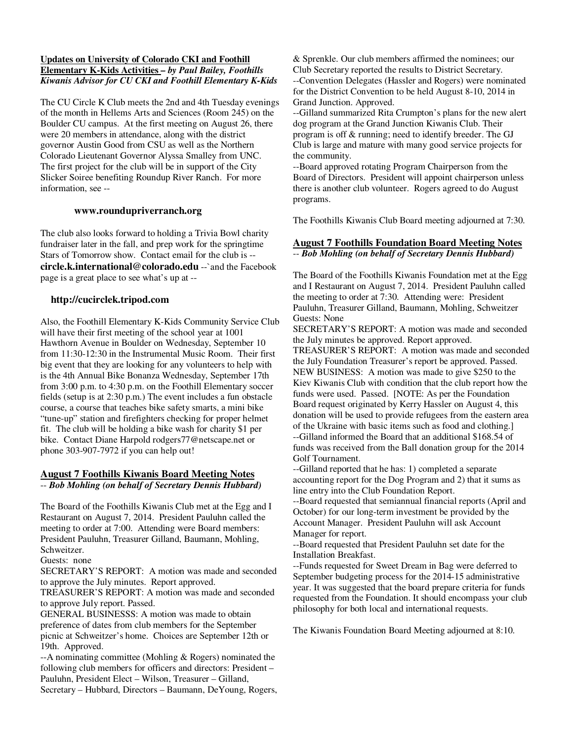#### **Updates on University of Colorado CKI and Foothill Elementary K-Kids Activities** *– by Paul Bailey, Foothills Kiwanis Advisor for CU CKI and Foothill Elementary K-Kids*

The CU Circle K Club meets the 2nd and 4th Tuesday evenings of the month in Hellems Arts and Sciences (Room 245) on the Boulder CU campus. At the first meeting on August 26, there were 20 members in attendance, along with the district governor Austin Good from CSU as well as the Northern Colorado Lieutenant Governor Alyssa Smalley from UNC. The first project for the club will be in support of the City Slicker Soiree benefiting Roundup River Ranch. For more information, see --

#### **www.roundupriverranch.org**

The club also looks forward to holding a Trivia Bowl charity fundraiser later in the fall, and prep work for the springtime Stars of Tomorrow show. Contact email for the club is - **circle.k.international@colorado.edu** --`and the Facebook page is a great place to see what's up at --

#### **http://cucirclek.tripod.com**

Also, the Foothill Elementary K-Kids Community Service Club will have their first meeting of the school year at 1001 Hawthorn Avenue in Boulder on Wednesday, September 10 from 11:30-12:30 in the Instrumental Music Room. Their first big event that they are looking for any volunteers to help with is the 4th Annual Bike Bonanza Wednesday, September 17th from 3:00 p.m. to 4:30 p.m. on the Foothill Elementary soccer fields (setup is at 2:30 p.m.) The event includes a fun obstacle course, a course that teaches bike safety smarts, a mini bike "tune-up" station and firefighters checking for proper helmet fit. The club will be holding a bike wash for charity \$1 per bike. Contact Diane Harpold rodgers77@netscape.net or phone 303-907-7972 if you can help out!

#### **August 7 Foothills Kiwanis Board Meeting Notes** -- *Bob Mohling (on behalf of Secretary Dennis Hubbard)*

The Board of the Foothills Kiwanis Club met at the Egg and I Restaurant on August 7, 2014. President Pauluhn called the meeting to order at 7:00. Attending were Board members: President Pauluhn, Treasurer Gilland, Baumann, Mohling, Schweitzer.

Guests: none

SECRETARY'S REPORT: A motion was made and seconded to approve the July minutes. Report approved.

TREASURER'S REPORT: A motion was made and seconded to approve July report. Passed.

GENERAL BUSINESSS: A motion was made to obtain preference of dates from club members for the September picnic at Schweitzer's home. Choices are September 12th or 19th. Approved.

--A nominating committee (Mohling & Rogers) nominated the following club members for officers and directors: President – Pauluhn, President Elect – Wilson, Treasurer – Gilland, Secretary – Hubbard, Directors – Baumann, DeYoung, Rogers, & Sprenkle. Our club members affirmed the nominees; our Club Secretary reported the results to District Secretary. --Convention Delegates (Hassler and Rogers) were nominated for the District Convention to be held August 8-10, 2014 in Grand Junction. Approved.

--Gilland summarized Rita Crumpton's plans for the new alert dog program at the Grand Junction Kiwanis Club. Their program is off & running; need to identify breeder. The GJ Club is large and mature with many good service projects for the community.

--Board approved rotating Program Chairperson from the Board of Directors. President will appoint chairperson unless there is another club volunteer. Rogers agreed to do August programs.

The Foothills Kiwanis Club Board meeting adjourned at 7:30.

#### **August 7 Foothills Foundation Board Meeting Notes** -- *Bob Mohling (on behalf of Secretary Dennis Hubbard)*

The Board of the Foothills Kiwanis Foundation met at the Egg and I Restaurant on August 7, 2014. President Pauluhn called the meeting to order at 7:30. Attending were: President Pauluhn, Treasurer Gilland, Baumann, Mohling, Schweitzer Guests: None

SECRETARY'S REPORT: A motion was made and seconded the July minutes be approved. Report approved.

TREASURER'S REPORT: A motion was made and seconded the July Foundation Treasurer's report be approved. Passed. NEW BUSINESS: A motion was made to give \$250 to the Kiev Kiwanis Club with condition that the club report how the funds were used. Passed. [NOTE: As per the Foundation Board request originated by Kerry Hassler on August 4, this donation will be used to provide refugees from the eastern area of the Ukraine with basic items such as food and clothing.] --Gilland informed the Board that an additional \$168.54 of funds was received from the Ball donation group for the 2014 Golf Tournament.

--Gilland reported that he has: 1) completed a separate accounting report for the Dog Program and 2) that it sums as line entry into the Club Foundation Report.

--Board requested that semiannual financial reports (April and October) for our long-term investment be provided by the Account Manager. President Pauluhn will ask Account Manager for report.

--Board requested that President Pauluhn set date for the Installation Breakfast.

--Funds requested for Sweet Dream in Bag were deferred to September budgeting process for the 2014-15 administrative year. It was suggested that the board prepare criteria for funds requested from the Foundation. It should encompass your club philosophy for both local and international requests.

The Kiwanis Foundation Board Meeting adjourned at 8:10.